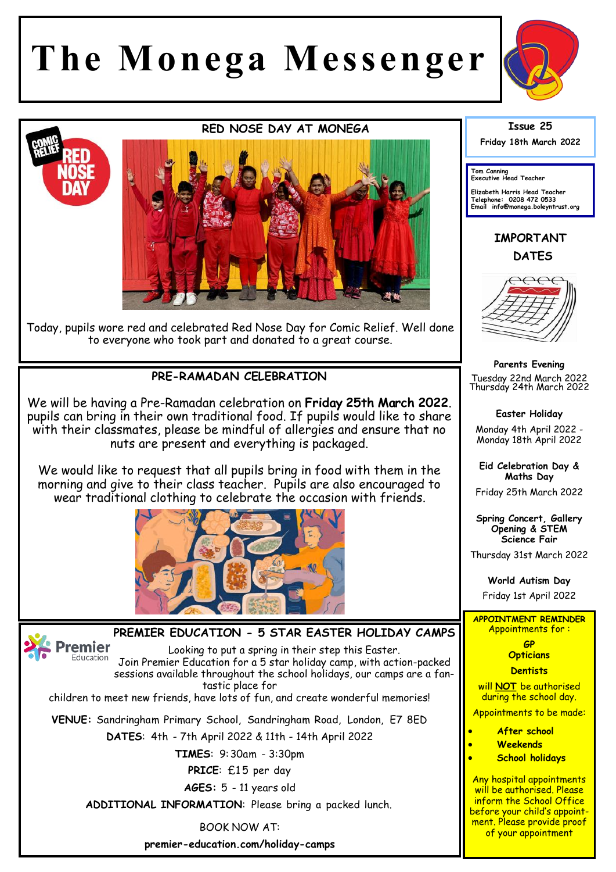## **The Monega Messenger**



## **RED NOSE DAY AT MONEGA**



Today, pupils wore red and celebrated Red Nose Day for Comic Relief. Well done to everyone who took part and donated to a great course.

## **PRE-RAMADAN CELEBRATION**

We will be having a Pre-Ramadan celebration on **Friday 25th March 2022**. pupils can bring in their own traditional food. If pupils would like to share with their classmates, please be mindful of allergies and ensure that no nuts are present and everything is packaged.

We would like to request that all pupils bring in food with them in the morning and give to their class teacher. Pupils are also encouraged to wear traditional clothing to celebrate the occasion with friends.



## **PREMIER EDUCATION - 5 STAR EASTER HOLIDAY CAMPS**

Premier Looking to put a spring in their step this Easter. Education Join Premier Education for a 5 star holiday camp, with action-packed sessions available throughout the school holidays, our camps are a fantastic place for

children to meet new friends, have lots of fun, and create wonderful memories!

**VENUE:** Sandringham Primary School, Sandringham Road, London, E7 8ED

**DATES**: 4th - 7th April 2022 & 11th - 14th April 2022

**TIMES**: 9:30am - 3:30pm

PRICE: £15 per day

**AGES:** 5 - 11 years old

**ADDITIONAL INFORMATION**: Please bring a packed lunch.

BOOK NOW AT: **premier-education.com/holiday-camps**  **Issue 25**

**Friday 18th March 2022** 

**Tom Canning Executive Head Teacher**

**Elizabeth Harris Head Teacher Telephone: 0208 472 0533 Email info@monega.boleyntrust.org** 

**IMPORTANT DATES**



**Parents Evening**  Tuesday 22nd March 2022 Thursday 24th March 2022

**Easter Holiday**

Monday 4th April 2022 - Monday 18th April 2022

**Eid Celebration Day & Maths Day**

Friday 25th March 2022

**Spring Concert, Gallery Opening & STEM Science Fair**

Thursday 31st March 2022

**World Autism Day** 

Friday 1st April 2022

**APPOINTMENT REMINDER** Appointments for :

> **GP Opticians**

**Dentists** 

will **NOT** be authorised during the school day.

Appointments to be made:

- **After school**
- **Weekends**
- **School holidays**

Any hospital appointments will be authorised. Please inform the School Office before your child's appointment. Please provide proof of your appointment